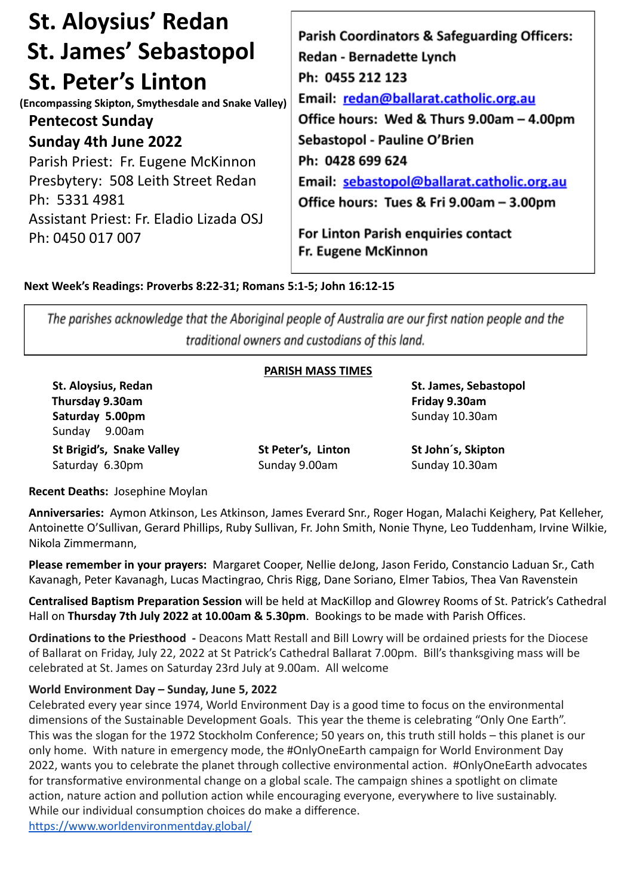| <b>St. Aloysius' Redan</b>                           | <b>Parish Coordinators &amp; Safeguarding Officers:</b> |
|------------------------------------------------------|---------------------------------------------------------|
| <b>St. James' Sebastopol</b>                         | Redan - Bernadette Lynch                                |
| <b>St. Peter's Linton</b>                            | Ph: 0455 212 123                                        |
| (Encompassing Skipton, Smythesdale and Snake Valley) | Email: redan@ballarat.catholic.org.au                   |
| <b>Pentecost Sunday</b>                              | Office hours: Wed & Thurs 9.00am - 4.00pm               |
| Sunday 4th June 2022                                 | Sebastopol - Pauline O'Brien                            |
| Parish Priest: Fr. Eugene McKinnon                   | Ph: 0428 699 624                                        |
| Presbytery: 508 Leith Street Redan                   | Email: sebastopol@ballarat.catholic.org.au              |
| Ph: 5331 4981                                        | Office hours: Tues & Fri 9.00am - 3.00pm                |
| Assistant Priest: Fr. Eladio Lizada OSJ              | For Linton Parish enquiries contact                     |
| Ph: 0450 017 007                                     | Fr. Eugene McKinnon                                     |

**Next Week's Readings: Proverbs 8:22-31; Romans 5:1-5; John 16:12-15**

The parishes acknowledge that the Aboriginal people of Australia are our first nation people and the traditional owners and custodians of this land.

#### **PARISH MASS TIMES**

**Thursday 9.30am Friday 9.30am Saturday 5.00pm** Sunday 10.30am Sunday 9.00am **St Brigid's, Snake Valley St Peter's, Linton St John´s, Skipton** Saturday 6.30pm Sunday 9.00am Sunday 9.00am Sunday 10.30am

**St. Aloysius, Redan St. James, Sebastopol**

**Recent Deaths:** Josephine Moylan

**Anniversaries:** Aymon Atkinson, Les Atkinson, James Everard Snr., Roger Hogan, Malachi Keighery, Pat Kelleher, Antoinette O'Sullivan, Gerard Phillips, Ruby Sullivan, Fr. John Smith, Nonie Thyne, Leo Tuddenham, Irvine Wilkie, Nikola Zimmermann,

**Please remember in your prayers:** Margaret Cooper, Nellie deJong, Jason Ferido, Constancio Laduan Sr., Cath Kavanagh, Peter Kavanagh, Lucas Mactingrao, Chris Rigg, Dane Soriano, Elmer Tabios, Thea Van Ravenstein

**Centralised Baptism Preparation Session** will be held at MacKillop and Glowrey Rooms of St. Patrick's Cathedral Hall on **Thursday 7th July 2022 at 10.00am & 5.30pm**. Bookings to be made with Parish Offices.

**Ordinations to the Priesthood -** Deacons Matt Restall and Bill Lowry will be ordained priests for the Diocese of Ballarat on Friday, July 22, 2022 at St Patrick's Cathedral Ballarat 7.00pm. Bill's thanksgiving mass will be celebrated at St. James on Saturday 23rd July at 9.00am. All welcome

#### **World Environment Day – Sunday, June 5, 2022**

Celebrated every year since 1974, World Environment Day is a good time to focus on the environmental dimensions of the Sustainable Development Goals. This year the theme is celebrating "Only One Earth". This was the slogan for the 1972 Stockholm Conference; 50 years on, this truth still holds – this planet is our only home. With nature in emergency mode, the #OnlyOneEarth campaign for World Environment Day 2022, wants you to celebrate the planet through collective environmental action. #OnlyOneEarth advocates for transformative environmental change on a global scale. The campaign shines a spotlight on climate action, nature action and pollution action while encouraging everyone, everywhere to live sustainably. While our individual consumption choices do make a difference.

<https://www.worldenvironmentday.global/>